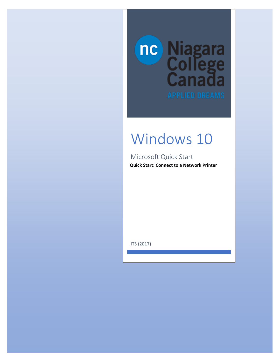

## Windows 10

Microsoft Quick Start

**Quick Start: Connect to a Network Printer**

ITS (2017)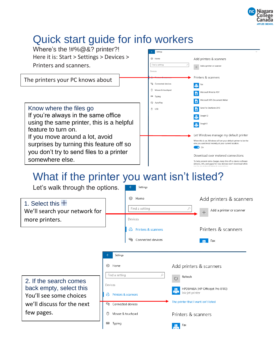

## Quick start guide for info workers



 $\begin{array}{|c|c|} \hline \end{array}$   $\begin{array}{|c|c|} \hline \end{array}$  Fax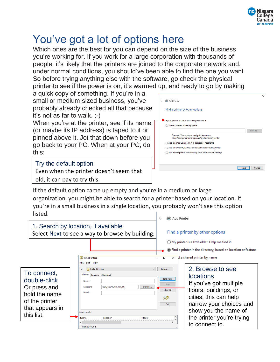

## You've got a lot of options here

Which ones are the best for you can depend on the size of the business you're working for. If you work for a large corporation with thousands of people, it's likely that the printers are joined to the corporate network and, under normal conditions, you should've been able to find the one you want. So before trying anything else with the software, go check the physical printer to see if the power is on, it's warmed up, and ready to go by making

a quick copy of something. If you're in a small or medium-sized business, you've probably already checked all that because it's not as far to walk. ;-)

When you're at the printer, see if its name (or maybe its IP address) is taped to it or pinned above it. Jot that down before you go back to your PC. When at your PC, do this:

Try the default option

Even when the printer doesn't seem that old, it can pay to try this.



If the default option came up empty and you're in a medium or large organization, you might be able to search for a printer based on your location. If you're in a small business in a single location, you probably won't see this option listed.

|                                                                                                                 |                                                                                                                         |                                 |                                 | (第4 Add Printer)<br>$\leftarrow$                   |                                                                                                                                                                                                  |
|-----------------------------------------------------------------------------------------------------------------|-------------------------------------------------------------------------------------------------------------------------|---------------------------------|---------------------------------|----------------------------------------------------|--------------------------------------------------------------------------------------------------------------------------------------------------------------------------------------------------|
| 1. Search by location, if available<br>Select Next to see a way to browse by building.                          |                                                                                                                         |                                 |                                 |                                                    | Find a printer by other options                                                                                                                                                                  |
|                                                                                                                 |                                                                                                                         |                                 |                                 |                                                    | $\bigcirc$ My printer is a little older. Help me find it.                                                                                                                                        |
|                                                                                                                 |                                                                                                                         |                                 |                                 |                                                    | If Find a printer in the directory, based on location or feature                                                                                                                                 |
|                                                                                                                 | Find Printers<br>File Edit View                                                                                         |                                 |                                 | $\times$<br>п                                      | ct a shared printer by name                                                                                                                                                                      |
| To connect,<br>double-click<br>Or press and<br>hold the name<br>of the printer<br>that appears in<br>this list. | <b>Entire Directory</b><br>In:<br>Printers Features Advanced<br>Name:<br>Location:<br>Model:<br>Search results:<br>Name | USA/REDMOND, WA/50/<br>Location | $\checkmark$<br>Browse<br>Model | Browse<br>Find Now<br>Stop<br>Clear All<br>7<br>OK | 2. Browse to see<br><b>locations</b><br>If you've got multiple<br>floors, buildings, or<br>cities, this can help<br>narrow your choices and<br>show you the name of<br>the printer you're trying |
|                                                                                                                 | $\overline{\phantom{a}}$                                                                                                |                                 |                                 | $\rightarrow$                                      | to connect to.                                                                                                                                                                                   |
|                                                                                                                 | 11 item(s) found                                                                                                        |                                 |                                 |                                                    |                                                                                                                                                                                                  |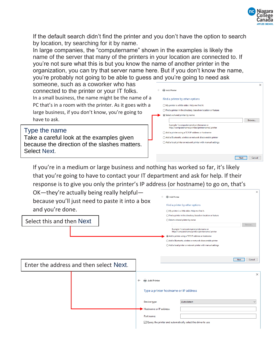

If the default search didn't find the printer and you don't have the option to search by location, try searching for it by name.

In large companies, the "computername" shown in the examples is likely the name of the server that many of the printers in your location are connected to. If you're not sure what this is but you know the name of another printer in the organization, you can try that server name here. But if you don't know the name, you're probably not going to be able to guess and you're going to need ask

someone, such as a coworker who has connected to the printer or your IT folks. In a small business, the name might be the name of a PC that's in a room with the printer. As it goes with a large business, if you don't know, you're going to have to ask.

Type the name Take a careful look at the examples given because the direction of the slashes matters. Select Next.



If you're in a medium or large business and nothing has worked so far, it's likely that you're going to have to contact your IT department and ask for help. If their response is to give you only the printer's IP address (or hostname) to go on, that's

OK—they're actually being really helpful because you'll just need to paste it into a box and you're done.

Select this and then Next

| Find a printer by other options                                                             |        |
|---------------------------------------------------------------------------------------------|--------|
| $\bigcap$ My printer is a little older. Help me find it.                                    |        |
| Find a printer in the directory, based on location or feature<br>∩                          |        |
| Select a shared printer by name<br>◯                                                        |        |
|                                                                                             | Browse |
| Example: \\computername\printername or<br>http://computername/printers/printername/.printer |        |
| Add a printer using a TCP/IP address or hostname                                            |        |
| Add a Bluetooth, wireless or network discoverable printer<br>∩                              |        |
| $\bigcap$ Add a local printer or network printer with manual settings                       |        |

Next Cancel Enter the address and then select Next. $\times$  $\leftarrow$   $\oplus$  Add Printer Type a printer hostname or IP address Autodetect Device type: Hostname or IP address Port name:  $\boxdot$  Query the printer and automatically select the driver to use